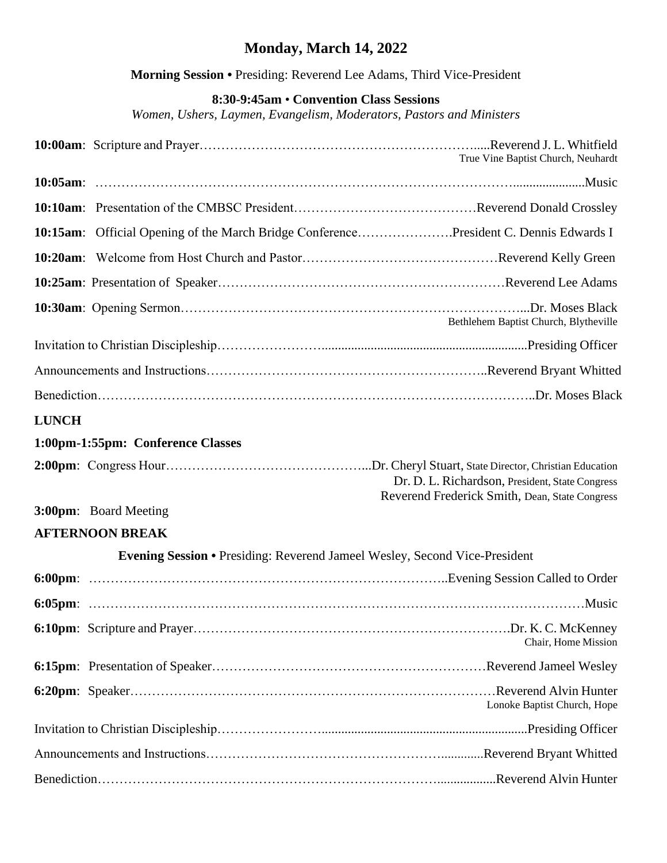## **Monday, March 14, 2022**

**Morning Session •** Presiding: Reverend Lee Adams, Third Vice-President

## **8:30-9:45am** • **Convention Class Sessions**

*Women, Ushers, Laymen, Evangelism, Moderators, Pastors and Ministers*

|                                                                                   | True Vine Baptist Church, Neuhardt                                                                |  |  |
|-----------------------------------------------------------------------------------|---------------------------------------------------------------------------------------------------|--|--|
|                                                                                   |                                                                                                   |  |  |
|                                                                                   |                                                                                                   |  |  |
|                                                                                   | 10:15am: Official Opening of the March Bridge ConferencePresident C. Dennis Edwards I             |  |  |
|                                                                                   |                                                                                                   |  |  |
|                                                                                   |                                                                                                   |  |  |
|                                                                                   | Bethlehem Baptist Church, Blytheville                                                             |  |  |
|                                                                                   |                                                                                                   |  |  |
|                                                                                   |                                                                                                   |  |  |
|                                                                                   |                                                                                                   |  |  |
| <b>LUNCH</b>                                                                      |                                                                                                   |  |  |
|                                                                                   | 1:00pm-1:55pm: Conference Classes                                                                 |  |  |
|                                                                                   | Dr. D. L. Richardson, President, State Congress<br>Reverend Frederick Smith, Dean, State Congress |  |  |
|                                                                                   | 3:00pm: Board Meeting                                                                             |  |  |
|                                                                                   | <b>AFTERNOON BREAK</b>                                                                            |  |  |
| <b>Evening Session • Presiding: Reverend Jameel Wesley, Second Vice-President</b> |                                                                                                   |  |  |
|                                                                                   |                                                                                                   |  |  |
|                                                                                   |                                                                                                   |  |  |
|                                                                                   | Chair, Home Mission                                                                               |  |  |
|                                                                                   |                                                                                                   |  |  |
|                                                                                   | Lonoke Baptist Church, Hope                                                                       |  |  |
|                                                                                   |                                                                                                   |  |  |
|                                                                                   |                                                                                                   |  |  |
|                                                                                   |                                                                                                   |  |  |